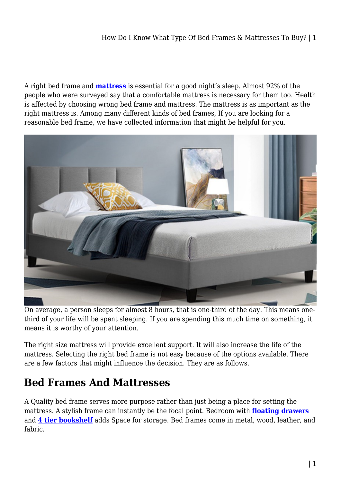#### How Do I Know What Type Of Bed Frames & Mattresses To Buy? | 1

A right bed frame and **[mattress](https://mattressoffers.com.au/mattress/)** is essential for a good night's sleep. Almost 92% of the people who were surveyed say that a comfortable mattress is necessary for them too. Health is affected by choosing wrong bed frame and mattress. The mattress is as important as the right mattress is. Among many different kinds of bed frames, If you are looking for a reasonable bed frame, we have collected information that might be helpful for you.



On average, a person sleeps for almost 8 hours, that is one-third of the day. This means onethird of your life will be spent sleeping. If you are spending this much time on something, it means it is worthy of your attention.

The right size mattress will provide excellent support. It will also increase the life of the mattress. Selecting the right bed frame is not easy because of the options available. There are a few factors that might influence the decision. They are as follows.

## **Bed Frames And Mattresses**

A Quality bed frame serves more purpose rather than just being a place for setting the mattress. A stylish frame can instantly be the focal point. Bedroom with **[floating drawers](https://mattressoffers.com.au/bedside-table/floating-bedside-table/)** and **[4 tier bookshelf](https://mattressoffers.com.au/cabinets-storage/bookshelf-cabinets-storage/4-tier-bookshelf/)** adds Space for storage. Bed frames come in metal, wood, leather, and fabric.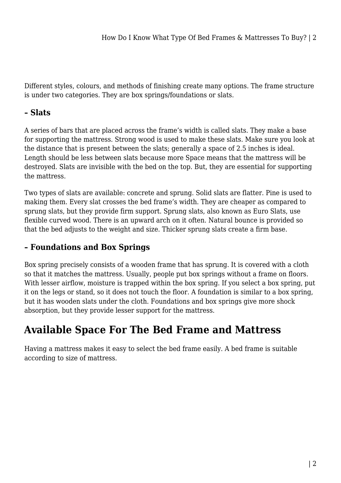Different styles, colours, and methods of finishing create many options. The frame structure is under two categories. They are box springs/foundations or slats.

#### **– Slats**

A series of bars that are placed across the frame's width is called slats. They make a base for supporting the mattress. Strong wood is used to make these slats. Make sure you look at the distance that is present between the slats; generally a space of 2.5 inches is ideal. Length should be less between slats because more Space means that the mattress will be destroyed. Slats are invisible with the bed on the top. But, they are essential for supporting the mattress.

Two types of slats are available: concrete and sprung. Solid slats are flatter. Pine is used to making them. Every slat crosses the bed frame's width. They are cheaper as compared to sprung slats, but they provide firm support. Sprung slats, also known as Euro Slats, use flexible curved wood. There is an upward arch on it often. Natural bounce is provided so that the bed adjusts to the weight and size. Thicker sprung slats create a firm base.

### **– Foundations and Box Springs**

Box spring precisely consists of a wooden frame that has sprung. It is covered with a cloth so that it matches the mattress. Usually, people put box springs without a frame on floors. With lesser airflow, moisture is trapped within the box spring. If you select a box spring, put it on the legs or stand, so it does not touch the floor. A foundation is similar to a box spring, but it has wooden slats under the cloth. Foundations and box springs give more shock absorption, but they provide lesser support for the mattress.

# **Available Space For The Bed Frame and Mattress**

Having a mattress makes it easy to select the bed frame easily. A bed frame is suitable according to size of mattress.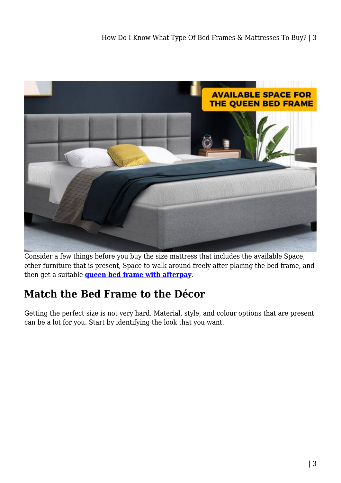

Consider a few things before you buy the size mattress that includes the available Space, other furniture that is present, Space to walk around freely after placing the bed frame, and then get a suitable **[queen bed frame with afterpay](https://mattressoffers.com.au/beds/bed-frame/queen-bed-frame/)**.

# **Match the Bed Frame to the Décor**

Getting the perfect size is not very hard. Material, style, and colour options that are present can be a lot for you. Start by identifying the look that you want.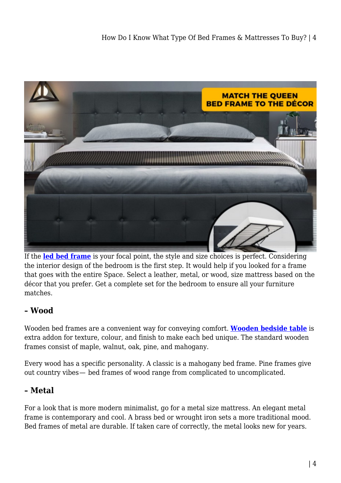

If the **[led bed frame](https://mattressoffers.com.au/beds/bed-frame/queen-bed-frame/artiss-led-bed-frame-queen-size-gas-lift-base-with-storage-white-leather/)** is your focal point, the style and size choices is perfect. Considering the interior design of the bedroom is the first step. It would help if you looked for a frame that goes with the entire Space. Select a leather, metal, or wood, size mattress based on the décor that you prefer. Get a complete set for the bedroom to ensure all your furniture matches.

### **– Wood**

Wooden bed frames are a convenient way for conveying comfort. **[Wooden bedside table](https://mattressoffers.com.au/bedside-table/)** is extra addon for texture, colour, and finish to make each bed unique. The standard wooden frames consist of maple, walnut, oak, pine, and mahogany.

Every wood has a specific personality. A classic is a mahogany bed frame. Pine frames give out country vibes— bed frames of wood range from complicated to uncomplicated.

### **– Metal**

For a look that is more modern minimalist, go for a metal size mattress. An elegant metal frame is contemporary and cool. A brass bed or wrought iron sets a more traditional mood. Bed frames of metal are durable. If taken care of correctly, the metal looks new for years.